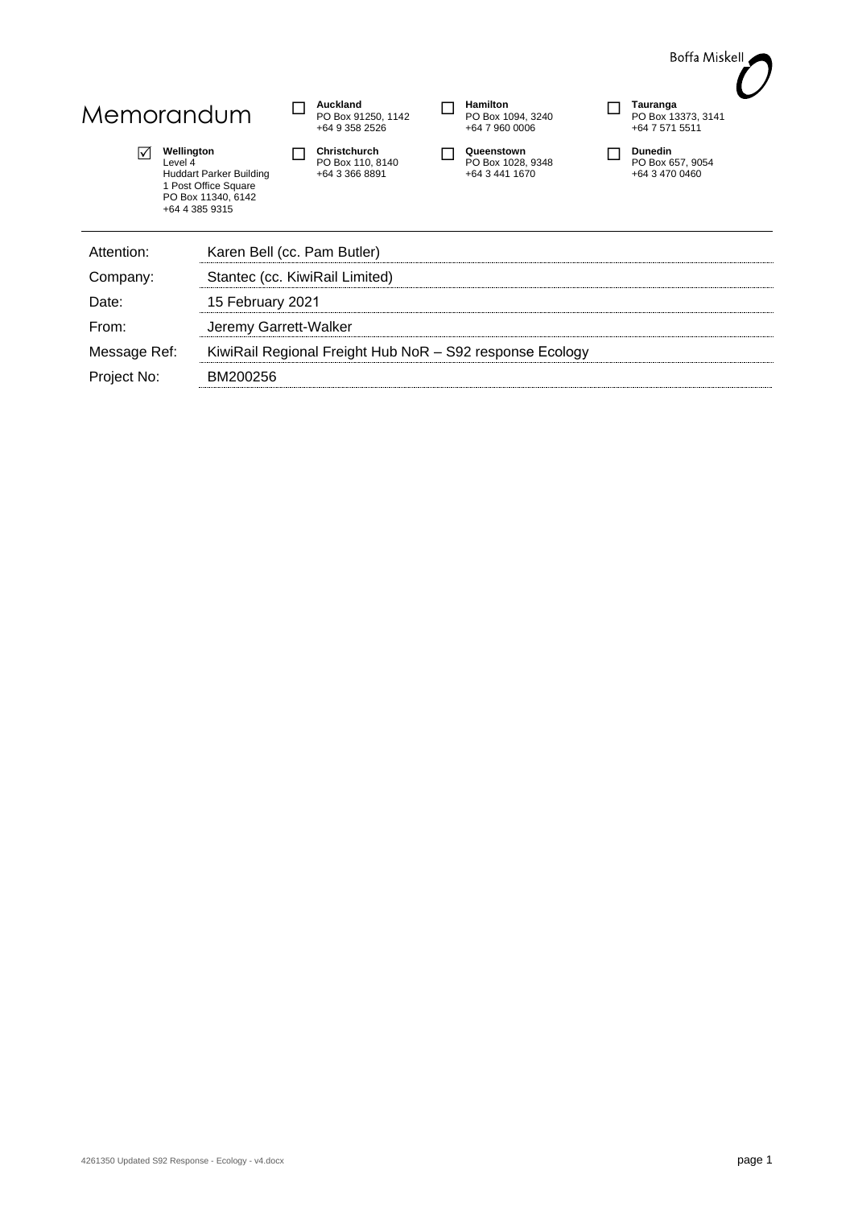

# Memorandum **D** Auckland

 **Wellington** Level 4 Huddart Parker Building 1 Post Office Square PO Box 11340, 6142 +64 4 385 9315

PO Box 91250, 1142 +64 9 358 2526

**Christchurch**<br>
PO Box 110, 8140 +64 3 366 8891

| Hamilton<br>PO Box 1094, 3240<br>+64 7 960 0006 |  |
|-------------------------------------------------|--|
| Queenstown                                      |  |

**Queenstown**<br>
PO Box 1028, 9348 +64 3 441 1670

**Dunedin**<br>
PO Box 657, 9054 +64 3 470 0460

| Attention:   | Karen Bell (cc. Pam Butler)                              |
|--------------|----------------------------------------------------------|
| Company:     | Stantec (cc. KiwiRail Limited)                           |
| Date:        | 15 February 2021                                         |
| From:        | Jeremy Garrett-Walker                                    |
| Message Ref: | KiwiRail Regional Freight Hub NoR - S92 response Ecology |
| Project No:  | BM200256                                                 |
|              |                                                          |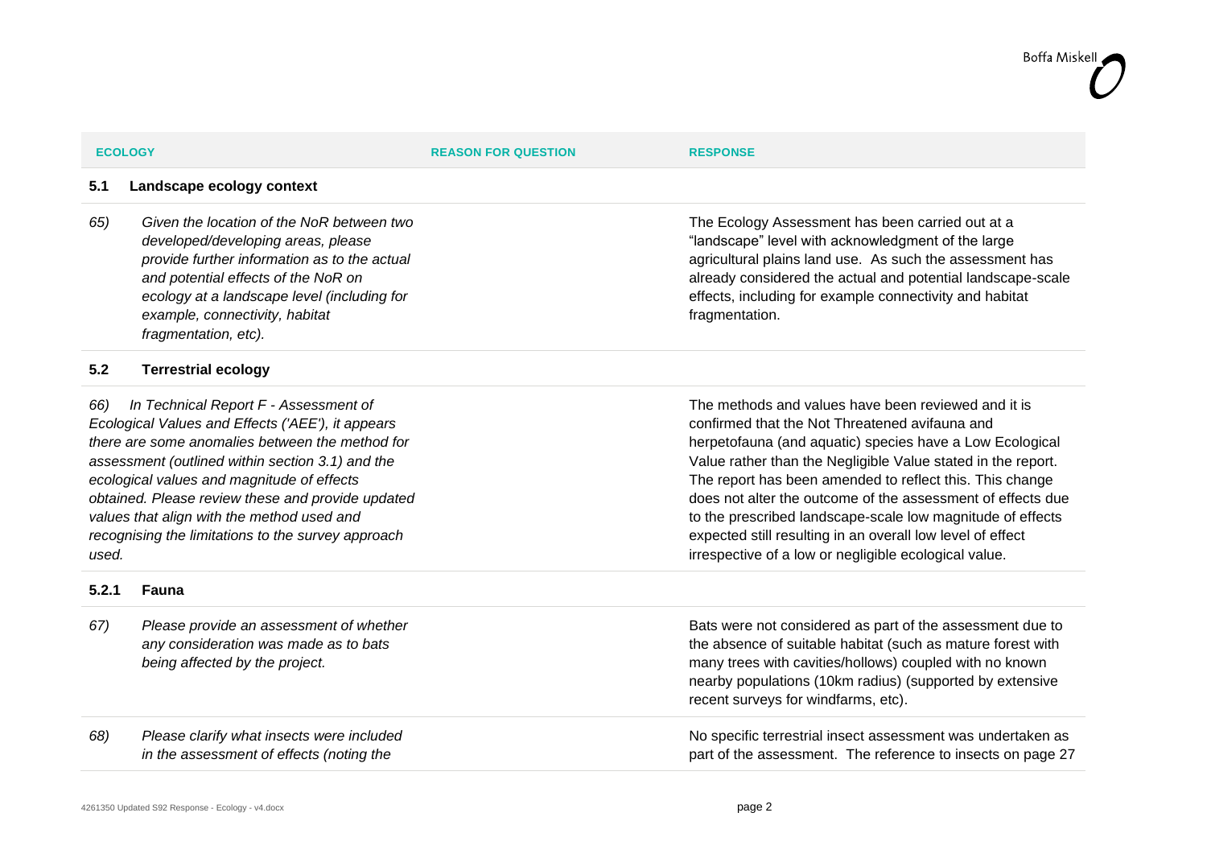| <b>ECOLOGY</b> |
|----------------|
|                |

### **5.1 Landscape ecology context**

*65) Given the location of the NoR between two developed/developing areas, please provide further information as to the actual and potential effects of the NoR on ecology at a landscape level (including for example, connectivity, habitat fragmentation, etc).*

### **5.2 Terrestrial ecology**

*66) In Technical Report F - Assessment of Ecological Values and Effects ('AEE'), it appears there are some anomalies between the method for assessment (outlined within section 3.1) and the ecological values and magnitude of effects obtained. Please review these and provide updated values that align with the method used and recognising the limitations to the survey approach used.*

### **5.2.1 Fauna**

*67) Please provide an assessment of whether any consideration was made as to bats being affected by the project.*

*68) Please clarify what insects were included in the assessment of effects (noting the* 

The Ecology Assessment has been carried out at a "landscape" level with acknowledgment of the large agricultural plains land use. As such the assessment has already considered the actual and potential landscape-scale effects, including for example connectivity and habitat fragmentation.

The methods and values have been reviewed and it is confirmed that the Not Threatened avifauna and herpetofauna (and aquatic) species have a Low Ecological Value rather than the Negligible Value stated in the report. The report has been amended to reflect this. This change does not alter the outcome of the assessment of effects due to the prescribed landscape-scale low magnitude of effects expected still resulting in an overall low level of effect irrespective of a low or negligible ecological value.

Bats were not considered as part of the assessment due to the absence of suitable habitat (such as mature forest with many trees with cavities/hollows) coupled with no known nearby populations (10km radius) (supported by extensive recent surveys for windfarms, etc).

No specific terrestrial insect assessment was undertaken as part of the assessment. The reference to insects on page 27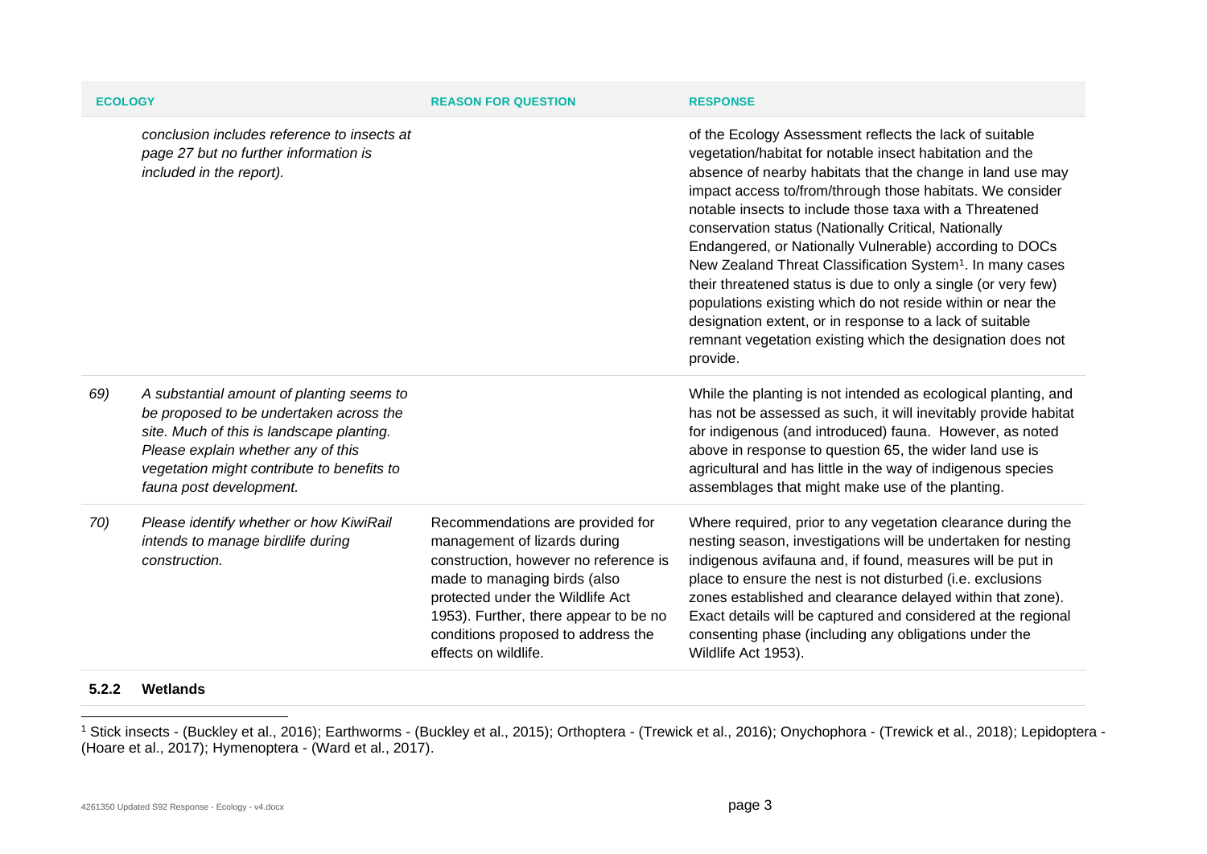| <b>ECOLOGY</b> |                                                                                                                                                                                                                                                  | <b>REASON FOR QUESTION</b>                                                                                                                                                                                                                                                           | <b>RESPONSE</b>                                                                                                                                                                                                                                                                                                                                                                                                                                                                                                                                                                                                                                                                                                                                                             |
|----------------|--------------------------------------------------------------------------------------------------------------------------------------------------------------------------------------------------------------------------------------------------|--------------------------------------------------------------------------------------------------------------------------------------------------------------------------------------------------------------------------------------------------------------------------------------|-----------------------------------------------------------------------------------------------------------------------------------------------------------------------------------------------------------------------------------------------------------------------------------------------------------------------------------------------------------------------------------------------------------------------------------------------------------------------------------------------------------------------------------------------------------------------------------------------------------------------------------------------------------------------------------------------------------------------------------------------------------------------------|
|                | conclusion includes reference to insects at<br>page 27 but no further information is<br>included in the report).                                                                                                                                 |                                                                                                                                                                                                                                                                                      | of the Ecology Assessment reflects the lack of suitable<br>vegetation/habitat for notable insect habitation and the<br>absence of nearby habitats that the change in land use may<br>impact access to/from/through those habitats. We consider<br>notable insects to include those taxa with a Threatened<br>conservation status (Nationally Critical, Nationally<br>Endangered, or Nationally Vulnerable) according to DOCs<br>New Zealand Threat Classification System <sup>1</sup> . In many cases<br>their threatened status is due to only a single (or very few)<br>populations existing which do not reside within or near the<br>designation extent, or in response to a lack of suitable<br>remnant vegetation existing which the designation does not<br>provide. |
| 69)            | A substantial amount of planting seems to<br>be proposed to be undertaken across the<br>site. Much of this is landscape planting.<br>Please explain whether any of this<br>vegetation might contribute to benefits to<br>fauna post development. |                                                                                                                                                                                                                                                                                      | While the planting is not intended as ecological planting, and<br>has not be assessed as such, it will inevitably provide habitat<br>for indigenous (and introduced) fauna. However, as noted<br>above in response to question 65, the wider land use is<br>agricultural and has little in the way of indigenous species<br>assemblages that might make use of the planting.                                                                                                                                                                                                                                                                                                                                                                                                |
| 70)            | Please identify whether or how KiwiRail<br>intends to manage birdlife during<br>construction.                                                                                                                                                    | Recommendations are provided for<br>management of lizards during<br>construction, however no reference is<br>made to managing birds (also<br>protected under the Wildlife Act<br>1953). Further, there appear to be no<br>conditions proposed to address the<br>effects on wildlife. | Where required, prior to any vegetation clearance during the<br>nesting season, investigations will be undertaken for nesting<br>indigenous avifauna and, if found, measures will be put in<br>place to ensure the nest is not disturbed (i.e. exclusions<br>zones established and clearance delayed within that zone).<br>Exact details will be captured and considered at the regional<br>consenting phase (including any obligations under the<br>Wildlife Act 1953).                                                                                                                                                                                                                                                                                                    |

### **5.2.2 Wetlands**

<sup>1</sup> Stick insects - (Buckley et al., 2016); Earthworms - (Buckley et al., 2015); Orthoptera - (Trewick et al., 2016); Onychophora - (Trewick et al., 2018); Lepidoptera - (Hoare et al., 2017); Hymenoptera - (Ward et al., 2017).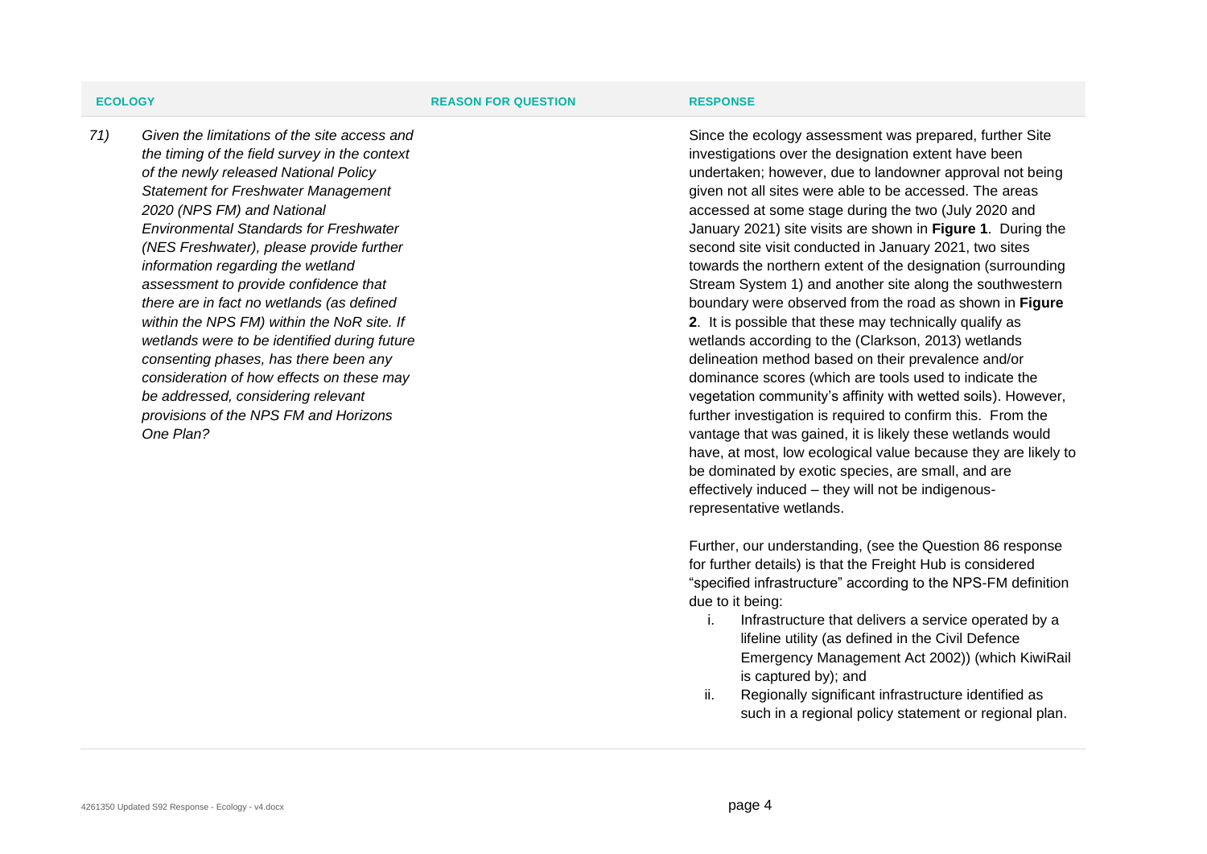*71) Given the limitations of the site access and the timing of the field survey in the context of the newly released National Policy Statement for Freshwater Management 2020 (NPS FM) and National Environmental Standards for Freshwater (NES Freshwater), please provide further information regarding the wetland assessment to provide confidence that there are in fact no wetlands (as defined within the NPS FM) within the NoR site. If wetlands were to be identified during future consenting phases, has there been any consideration of how effects on these may be addressed, considering relevant provisions of the NPS FM and Horizons One Plan?*

Since the ecology assessment was prepared, further Site investigations over the designation extent have been undertaken; however, due to landowner approval not being given not all sites were able to be accessed. The areas accessed at some stage during the two (July 2020 and January 2021) site visits are shown in **Figure 1**. During the second site visit conducted in January 2021, two sites towards the northern extent of the designation (surrounding Stream System 1) and another site along the southwestern boundary were observed from the road as shown in **Figure 2**. It is possible that these may technically qualify as wetlands according to the (Clarkson, 2013) wetlands delineation method based on their prevalence and/or dominance scores (which are tools used to indicate the vegetation community's affinity with wetted soils). However, further investigation is required to confirm this. From the vantage that was gained, it is likely these wetlands would have, at most, low ecological value because they are likely to be dominated by exotic species, are small, and are effectively induced – they will not be indigenousrepresentative wetlands.

Further, our understanding, (see the Question 86 response for further details) is that the Freight Hub is considered "specified infrastructure" according to the NPS-FM definition due to it being:

- i. Infrastructure that delivers a service operated by a lifeline utility (as defined in the Civil Defence Emergency Management Act 2002)) (which KiwiRail is captured by); and
- ii. Regionally significant infrastructure identified as such in a regional policy statement or regional plan.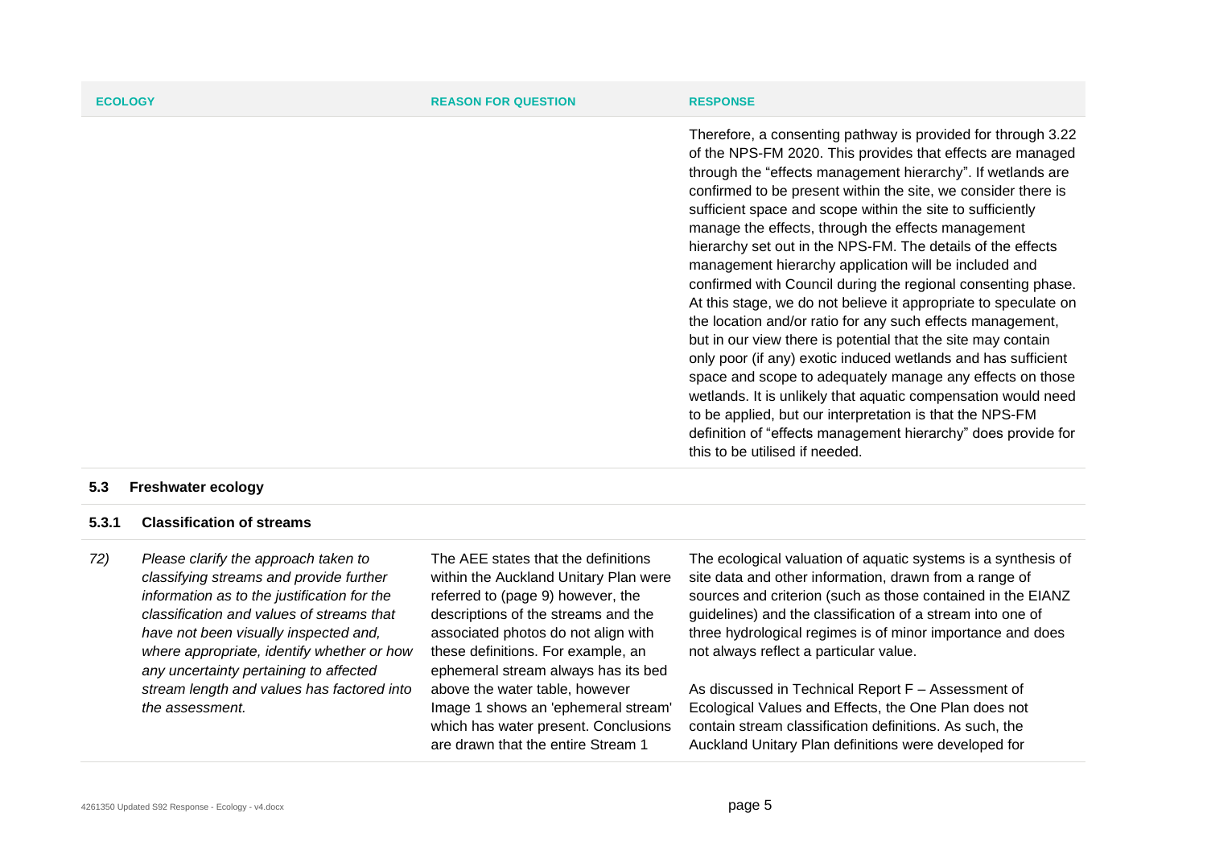| <b>ECOLOGY</b> | <b>REASON FOR QUESTION</b> | <b>RESPONSE</b>                                                                                                                                                                                                                                                                                                                                                                                                                                                                                                                                                                                                                                                                                                                                                                                                                                                                                                                                                                                                                                                                                                                       |
|----------------|----------------------------|---------------------------------------------------------------------------------------------------------------------------------------------------------------------------------------------------------------------------------------------------------------------------------------------------------------------------------------------------------------------------------------------------------------------------------------------------------------------------------------------------------------------------------------------------------------------------------------------------------------------------------------------------------------------------------------------------------------------------------------------------------------------------------------------------------------------------------------------------------------------------------------------------------------------------------------------------------------------------------------------------------------------------------------------------------------------------------------------------------------------------------------|
|                |                            | Therefore, a consenting pathway is provided for through 3.22<br>of the NPS-FM 2020. This provides that effects are managed<br>through the "effects management hierarchy". If wetlands are<br>confirmed to be present within the site, we consider there is<br>sufficient space and scope within the site to sufficiently<br>manage the effects, through the effects management<br>hierarchy set out in the NPS-FM. The details of the effects<br>management hierarchy application will be included and<br>confirmed with Council during the regional consenting phase.<br>At this stage, we do not believe it appropriate to speculate on<br>the location and/or ratio for any such effects management,<br>but in our view there is potential that the site may contain<br>only poor (if any) exotic induced wetlands and has sufficient<br>space and scope to adequately manage any effects on those<br>wetlands. It is unlikely that aquatic compensation would need<br>to be applied, but our interpretation is that the NPS-FM<br>definition of "effects management hierarchy" does provide for<br>this to be utilised if needed. |

### **5.3 Freshwater ecology**

### **5.3.1 Classification of streams**

*72) Please clarify the approach taken to classifying streams and provide further information as to the justification for the classification and values of streams that have not been visually inspected and, where appropriate, identify whether or how any uncertainty pertaining to affected stream length and values has factored into the assessment.*

The AEE states that the definitions within the Auckland Unitary Plan were referred to (page 9) however, the descriptions of the streams and the associated photos do not align with these definitions. For example, an ephemeral stream always has its bed above the water table, however Image 1 shows an 'ephemeral stream' which has water present. Conclusions are drawn that the entire Stream 1

The ecological valuation of aquatic systems is a synthesis of site data and other information, drawn from a range of sources and criterion (such as those contained in the EIANZ guidelines) and the classification of a stream into one of three hydrological regimes is of minor importance and does not always reflect a particular value.

As discussed in Technical Report F – Assessment of Ecological Values and Effects, the One Plan does not contain stream classification definitions. As such, the Auckland Unitary Plan definitions were developed for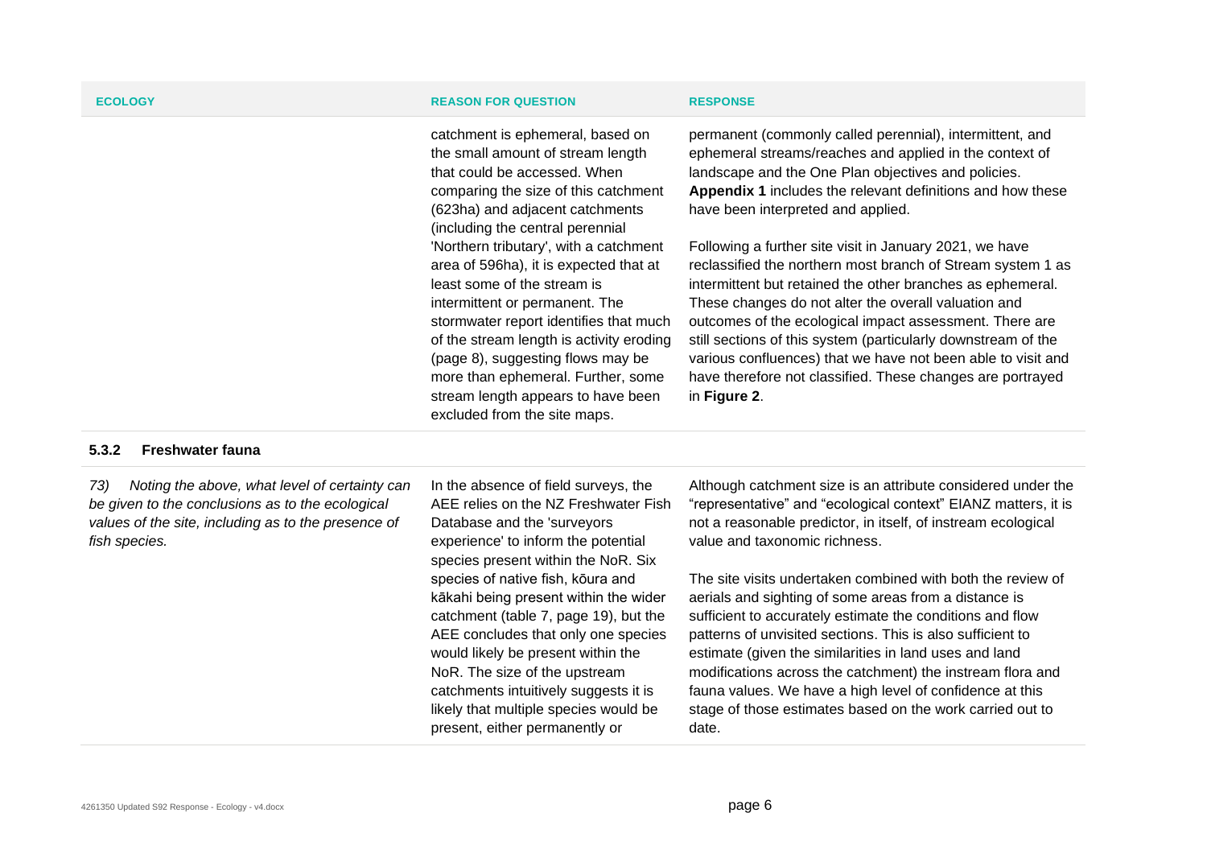catchment is ephemeral, based on the small amount of stream length that could be accessed. When comparing the size of this catchment (623ha) and adjacent catchments (including the central perennial 'Northern tributary', with a catchment area of 596ha), it is expected that at least some of the stream is intermittent or permanent. The stormwater report identifies that much of the stream length is activity eroding (page 8), suggesting flows may be more than ephemeral. Further, some stream length appears to have been excluded from the site maps.

permanent (commonly called perennial), intermittent, and ephemeral streams/reaches and applied in the context of landscape and the One Plan objectives and policies. **Appendix 1** includes the relevant definitions and how these have been interpreted and applied.

Following a further site visit in January 2021, we have reclassified the northern most branch of Stream system 1 as intermittent but retained the other branches as ephemeral. These changes do not alter the overall valuation and outcomes of the ecological impact assessment. There are still sections of this system (particularly downstream of the various confluences) that we have not been able to visit and have therefore not classified. These changes are portrayed in **Figure 2**.

### **5.3.2 Freshwater fauna**

*73) Noting the above, what level of certainty can be given to the conclusions as to the ecological values of the site, including as to the presence of fish species.*

In the absence of field surveys, the AEE relies on the NZ Freshwater Fish Database and the 'surveyors experience' to inform the potential species present within the NoR. Six species of native fish, kōura and kākahi being present within the wider catchment (table 7, page 19), but the AEE concludes that only one species would likely be present within the NoR. The size of the upstream catchments intuitively suggests it is likely that multiple species would be present, either permanently or

Although catchment size is an attribute considered under the "representative" and "ecological context" EIANZ matters, it is not a reasonable predictor, in itself, of instream ecological value and taxonomic richness.

The site visits undertaken combined with both the review of aerials and sighting of some areas from a distance is sufficient to accurately estimate the conditions and flow patterns of unvisited sections. This is also sufficient to estimate (given the similarities in land uses and land modifications across the catchment) the instream flora and fauna values. We have a high level of confidence at this stage of those estimates based on the work carried out to date.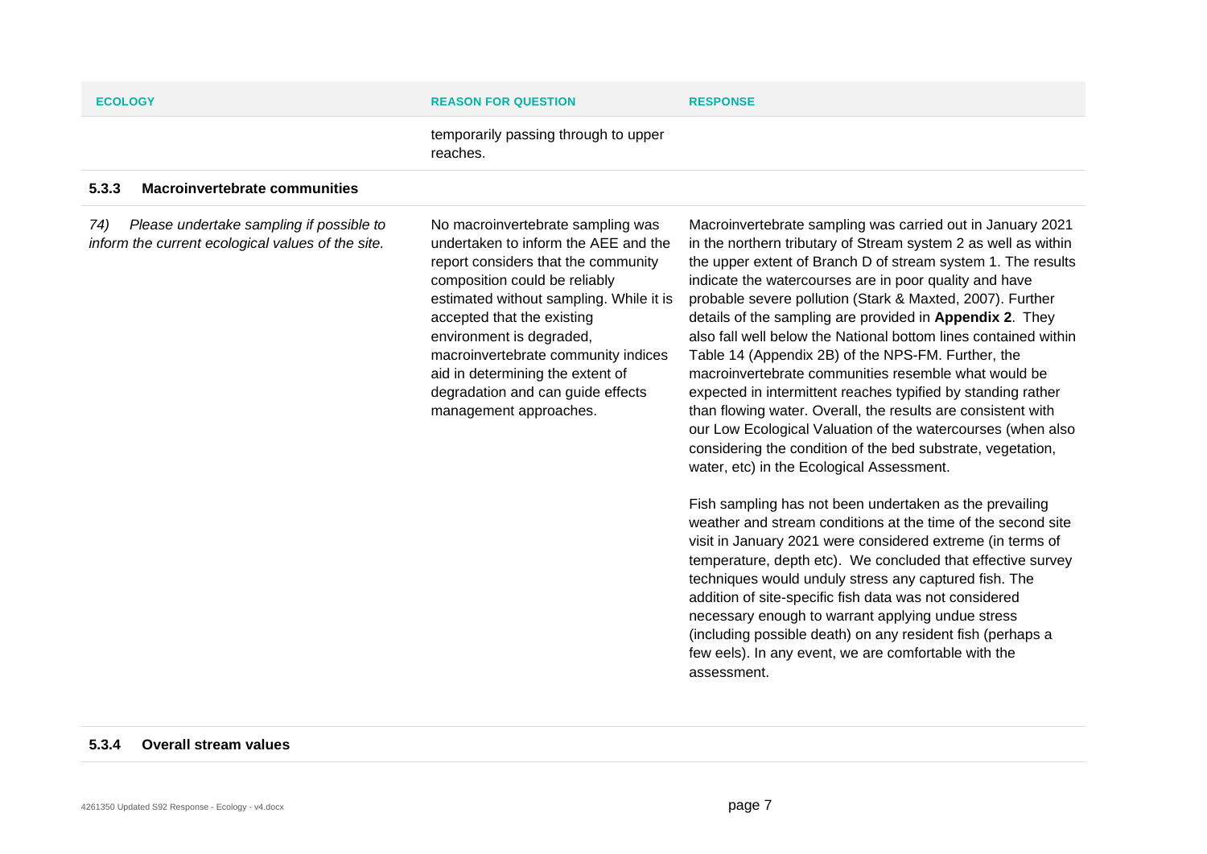| <b>ECOLOGY</b>                                                                                       | <b>REASON FOR QUESTION</b>                                                                                                                                                                                                                                                                                                                                                                       | <b>RESPONSE</b>                                                                                                                                                                                                                                                                                                                                                                                                                                                                                                                                                                                                                                                                                                                                                                                                                                                                                                                                                                                                                                                                                                                                                                                                                                                                                                                                                                                                                                  |
|------------------------------------------------------------------------------------------------------|--------------------------------------------------------------------------------------------------------------------------------------------------------------------------------------------------------------------------------------------------------------------------------------------------------------------------------------------------------------------------------------------------|--------------------------------------------------------------------------------------------------------------------------------------------------------------------------------------------------------------------------------------------------------------------------------------------------------------------------------------------------------------------------------------------------------------------------------------------------------------------------------------------------------------------------------------------------------------------------------------------------------------------------------------------------------------------------------------------------------------------------------------------------------------------------------------------------------------------------------------------------------------------------------------------------------------------------------------------------------------------------------------------------------------------------------------------------------------------------------------------------------------------------------------------------------------------------------------------------------------------------------------------------------------------------------------------------------------------------------------------------------------------------------------------------------------------------------------------------|
|                                                                                                      | temporarily passing through to upper<br>reaches.                                                                                                                                                                                                                                                                                                                                                 |                                                                                                                                                                                                                                                                                                                                                                                                                                                                                                                                                                                                                                                                                                                                                                                                                                                                                                                                                                                                                                                                                                                                                                                                                                                                                                                                                                                                                                                  |
| <b>Macroinvertebrate communities</b><br>5.3.3                                                        |                                                                                                                                                                                                                                                                                                                                                                                                  |                                                                                                                                                                                                                                                                                                                                                                                                                                                                                                                                                                                                                                                                                                                                                                                                                                                                                                                                                                                                                                                                                                                                                                                                                                                                                                                                                                                                                                                  |
| Please undertake sampling if possible to<br>74)<br>inform the current ecological values of the site. | No macroinvertebrate sampling was<br>undertaken to inform the AEE and the<br>report considers that the community<br>composition could be reliably<br>estimated without sampling. While it is<br>accepted that the existing<br>environment is degraded,<br>macroinvertebrate community indices<br>aid in determining the extent of<br>degradation and can guide effects<br>management approaches. | Macroinvertebrate sampling was carried out in January 2021<br>in the northern tributary of Stream system 2 as well as within<br>the upper extent of Branch D of stream system 1. The results<br>indicate the watercourses are in poor quality and have<br>probable severe pollution (Stark & Maxted, 2007). Further<br>details of the sampling are provided in Appendix 2. They<br>also fall well below the National bottom lines contained within<br>Table 14 (Appendix 2B) of the NPS-FM. Further, the<br>macroinvertebrate communities resemble what would be<br>expected in intermittent reaches typified by standing rather<br>than flowing water. Overall, the results are consistent with<br>our Low Ecological Valuation of the watercourses (when also<br>considering the condition of the bed substrate, vegetation,<br>water, etc) in the Ecological Assessment.<br>Fish sampling has not been undertaken as the prevailing<br>weather and stream conditions at the time of the second site<br>visit in January 2021 were considered extreme (in terms of<br>temperature, depth etc). We concluded that effective survey<br>techniques would unduly stress any captured fish. The<br>addition of site-specific fish data was not considered<br>necessary enough to warrant applying undue stress<br>(including possible death) on any resident fish (perhaps a<br>few eels). In any event, we are comfortable with the<br>assessment. |
|                                                                                                      |                                                                                                                                                                                                                                                                                                                                                                                                  |                                                                                                                                                                                                                                                                                                                                                                                                                                                                                                                                                                                                                                                                                                                                                                                                                                                                                                                                                                                                                                                                                                                                                                                                                                                                                                                                                                                                                                                  |

### **5.3.4 Overall stream values**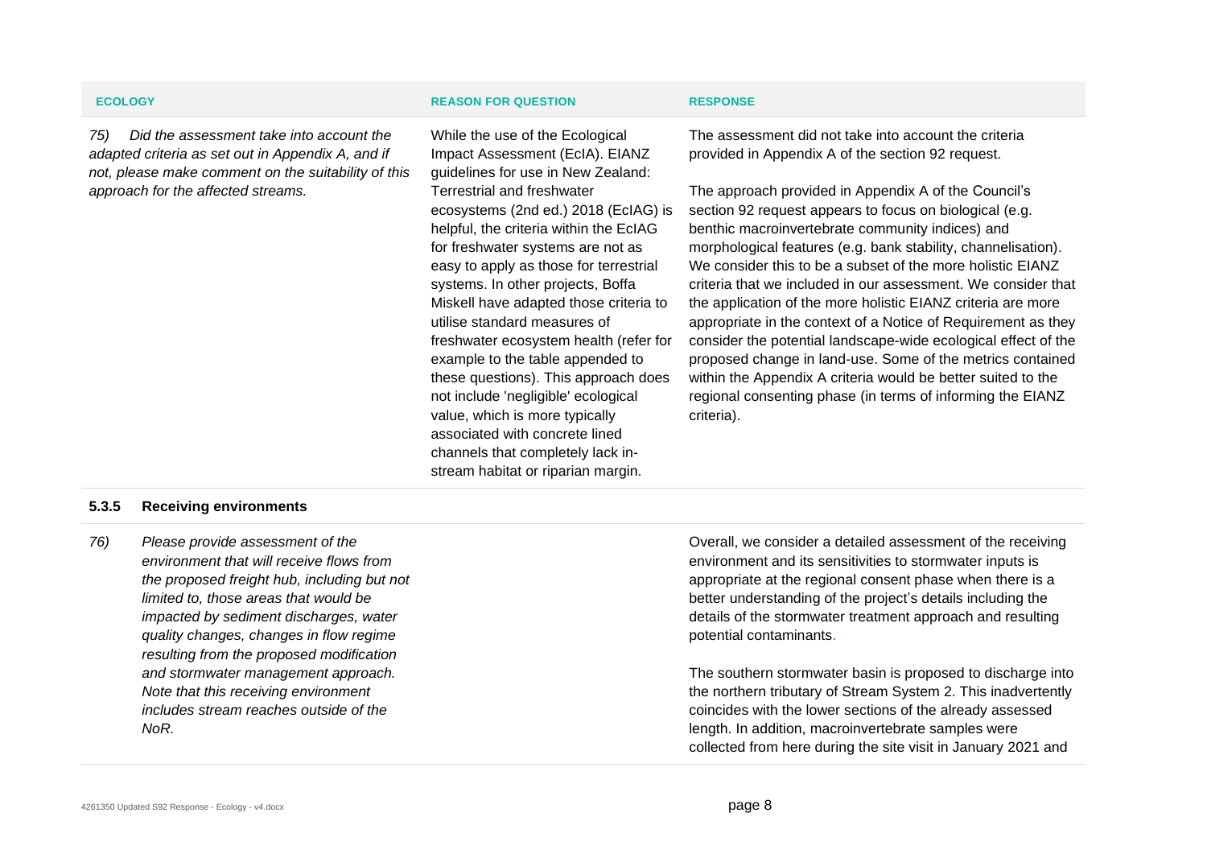*75) Did the assessment take into account the adapted criteria as set out in Appendix A, and if not, please make comment on the suitability of this approach for the affected streams.*

### **ECOLOGY REASON FOR QUESTION RESPONSE**

While the use of the Ecological Impact Assessment (EcIA). EIANZ guidelines for use in New Zealand: Terrestrial and freshwater ecosystems (2nd ed.) 2018 (EcIAG) is helpful, the criteria within the EcIAG for freshwater systems are not as easy to apply as those for terrestrial systems. In other projects, Boffa Miskell have adapted those criteria to utilise standard measures of freshwater ecosystem health (refer for example to the table appended to these questions). This approach does not include 'negligible' ecological value, which is more typically associated with concrete lined channels that completely lack instream habitat or riparian margin.

The assessment did not take into account the criteria provided in Appendix A of the section 92 request.

The approach provided in Appendix A of the Council's section 92 request appears to focus on biological (e.g. benthic macroinvertebrate community indices) and morphological features (e.g. bank stability, channelisation). We consider this to be a subset of the more holistic EIANZ criteria that we included in our assessment. We consider that the application of the more holistic EIANZ criteria are more appropriate in the context of a Notice of Requirement as they consider the potential landscape-wide ecological effect of the proposed change in land-use. Some of the metrics contained within the Appendix A criteria would be better suited to the regional consenting phase (in terms of informing the EIANZ criteria).

### **5.3.5 Receiving environments**

*76) Please provide assessment of the environment that will receive flows from the proposed freight hub, including but not limited to, those areas that would be impacted by sediment discharges, water quality changes, changes in flow regime resulting from the proposed modification and stormwater management approach. Note that this receiving environment includes stream reaches outside of the NoR.*

Overall, we consider a detailed assessment of the receiving environment and its sensitivities to stormwater inputs is appropriate at the regional consent phase when there is a better understanding of the project's details including the details of the stormwater treatment approach and resulting potential contaminants.

The southern stormwater basin is proposed to discharge into the northern tributary of Stream System 2. This inadvertently coincides with the lower sections of the already assessed length. In addition, macroinvertebrate samples were collected from here during the site visit in January 2021 and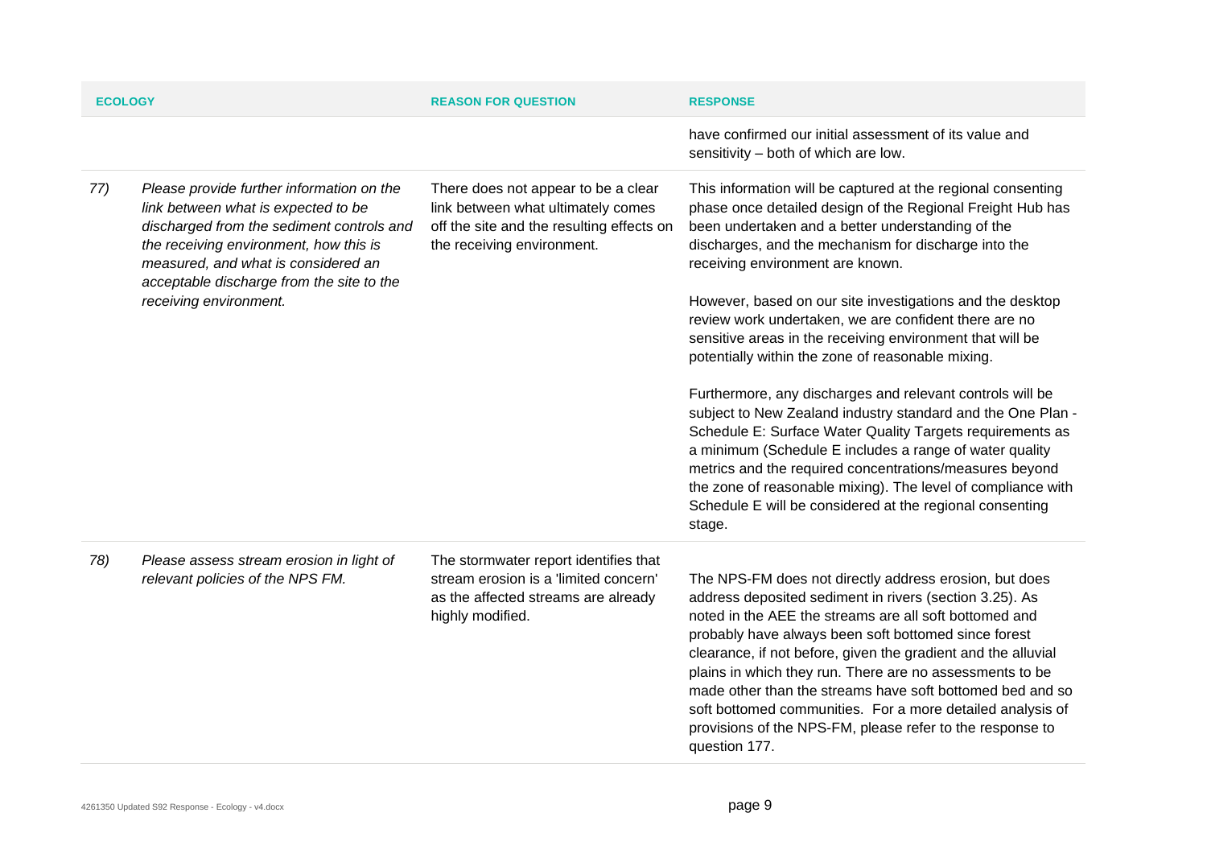| <b>ECOLOGY</b> |                                                                                                                                                                                                                                                                                       | <b>REASON FOR QUESTION</b>                                                                                                                           | <b>RESPONSE</b>                                                                                                                                                                                                                                                                                                                                                                                                                                                                                                                                                           |
|----------------|---------------------------------------------------------------------------------------------------------------------------------------------------------------------------------------------------------------------------------------------------------------------------------------|------------------------------------------------------------------------------------------------------------------------------------------------------|---------------------------------------------------------------------------------------------------------------------------------------------------------------------------------------------------------------------------------------------------------------------------------------------------------------------------------------------------------------------------------------------------------------------------------------------------------------------------------------------------------------------------------------------------------------------------|
|                |                                                                                                                                                                                                                                                                                       |                                                                                                                                                      | have confirmed our initial assessment of its value and<br>sensitivity - both of which are low.                                                                                                                                                                                                                                                                                                                                                                                                                                                                            |
| 77)            | Please provide further information on the<br>link between what is expected to be<br>discharged from the sediment controls and<br>the receiving environment, how this is<br>measured, and what is considered an<br>acceptable discharge from the site to the<br>receiving environment. | There does not appear to be a clear<br>link between what ultimately comes<br>off the site and the resulting effects on<br>the receiving environment. | This information will be captured at the regional consenting<br>phase once detailed design of the Regional Freight Hub has<br>been undertaken and a better understanding of the<br>discharges, and the mechanism for discharge into the<br>receiving environment are known.<br>However, based on our site investigations and the desktop                                                                                                                                                                                                                                  |
|                |                                                                                                                                                                                                                                                                                       |                                                                                                                                                      | review work undertaken, we are confident there are no<br>sensitive areas in the receiving environment that will be<br>potentially within the zone of reasonable mixing.                                                                                                                                                                                                                                                                                                                                                                                                   |
|                |                                                                                                                                                                                                                                                                                       |                                                                                                                                                      | Furthermore, any discharges and relevant controls will be<br>subject to New Zealand industry standard and the One Plan -<br>Schedule E: Surface Water Quality Targets requirements as<br>a minimum (Schedule E includes a range of water quality<br>metrics and the required concentrations/measures beyond<br>the zone of reasonable mixing). The level of compliance with<br>Schedule E will be considered at the regional consenting<br>stage.                                                                                                                         |
| 78)            | Please assess stream erosion in light of<br>relevant policies of the NPS FM.                                                                                                                                                                                                          | The stormwater report identifies that<br>stream erosion is a 'limited concern'<br>as the affected streams are already<br>highly modified.            | The NPS-FM does not directly address erosion, but does<br>address deposited sediment in rivers (section 3.25). As<br>noted in the AEE the streams are all soft bottomed and<br>probably have always been soft bottomed since forest<br>clearance, if not before, given the gradient and the alluvial<br>plains in which they run. There are no assessments to be<br>made other than the streams have soft bottomed bed and so<br>soft bottomed communities. For a more detailed analysis of<br>provisions of the NPS-FM, please refer to the response to<br>question 177. |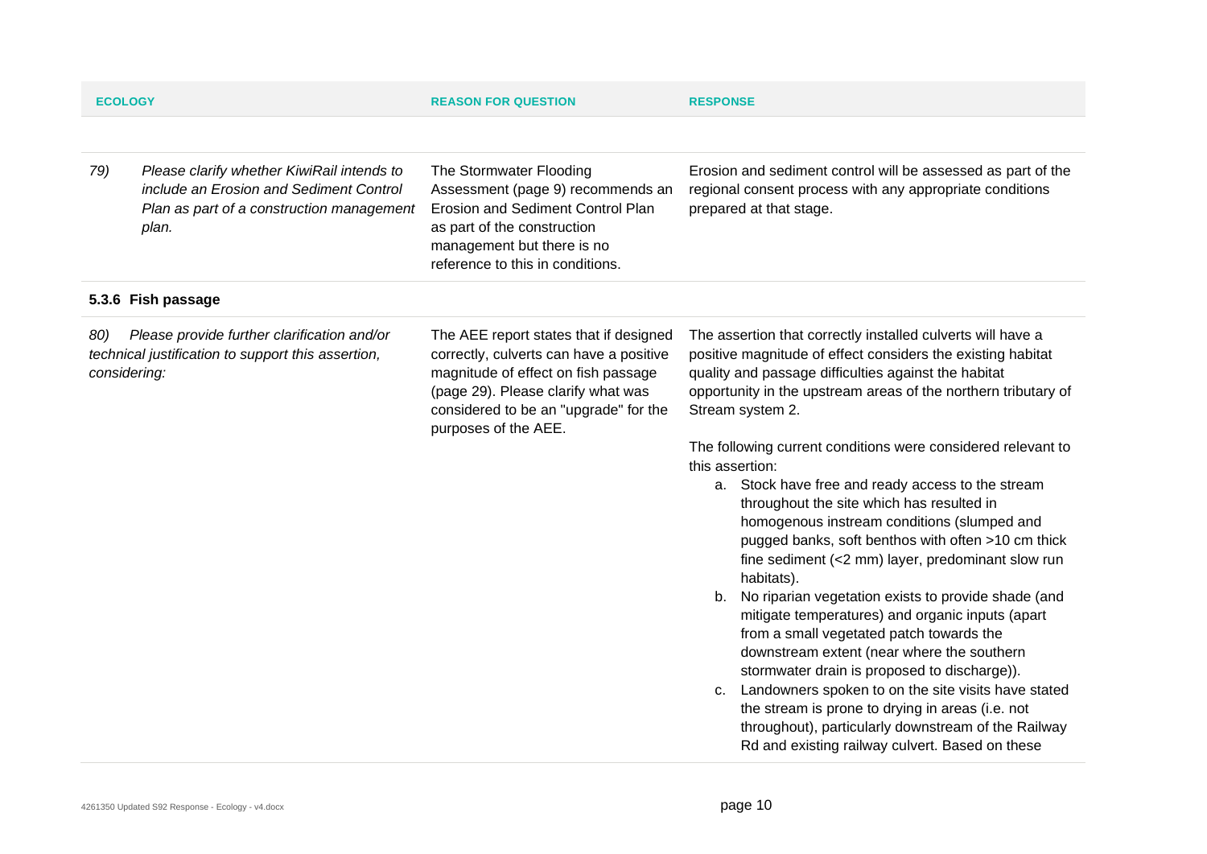| <b>ECOLOGY</b>      |                                                                                                                                             | <b>REASON FOR QUESTION</b>                                                                                                                                                                                                      | <b>RESPONSE</b>                                                                                                                                                                                                                                                                                                                                                                                                                                                                                                                                                                                                                                                                                                                                                                                                                                                                                                                                                                                                                                                                                                       |
|---------------------|---------------------------------------------------------------------------------------------------------------------------------------------|---------------------------------------------------------------------------------------------------------------------------------------------------------------------------------------------------------------------------------|-----------------------------------------------------------------------------------------------------------------------------------------------------------------------------------------------------------------------------------------------------------------------------------------------------------------------------------------------------------------------------------------------------------------------------------------------------------------------------------------------------------------------------------------------------------------------------------------------------------------------------------------------------------------------------------------------------------------------------------------------------------------------------------------------------------------------------------------------------------------------------------------------------------------------------------------------------------------------------------------------------------------------------------------------------------------------------------------------------------------------|
|                     |                                                                                                                                             |                                                                                                                                                                                                                                 |                                                                                                                                                                                                                                                                                                                                                                                                                                                                                                                                                                                                                                                                                                                                                                                                                                                                                                                                                                                                                                                                                                                       |
| 79)                 | Please clarify whether KiwiRail intends to<br>include an Erosion and Sediment Control<br>Plan as part of a construction management<br>plan. | The Stormwater Flooding<br>Assessment (page 9) recommends an<br>Erosion and Sediment Control Plan<br>as part of the construction<br>management but there is no<br>reference to this in conditions.                              | Erosion and sediment control will be assessed as part of the<br>regional consent process with any appropriate conditions<br>prepared at that stage.                                                                                                                                                                                                                                                                                                                                                                                                                                                                                                                                                                                                                                                                                                                                                                                                                                                                                                                                                                   |
|                     | 5.3.6 Fish passage                                                                                                                          |                                                                                                                                                                                                                                 |                                                                                                                                                                                                                                                                                                                                                                                                                                                                                                                                                                                                                                                                                                                                                                                                                                                                                                                                                                                                                                                                                                                       |
| 80)<br>considering: | Please provide further clarification and/or<br>technical justification to support this assertion,                                           | The AEE report states that if designed<br>correctly, culverts can have a positive<br>magnitude of effect on fish passage<br>(page 29). Please clarify what was<br>considered to be an "upgrade" for the<br>purposes of the AEE. | The assertion that correctly installed culverts will have a<br>positive magnitude of effect considers the existing habitat<br>quality and passage difficulties against the habitat<br>opportunity in the upstream areas of the northern tributary of<br>Stream system 2.<br>The following current conditions were considered relevant to<br>this assertion:<br>a. Stock have free and ready access to the stream<br>throughout the site which has resulted in<br>homogenous instream conditions (slumped and<br>pugged banks, soft benthos with often >10 cm thick<br>fine sediment (<2 mm) layer, predominant slow run<br>habitats).<br>b. No riparian vegetation exists to provide shade (and<br>mitigate temperatures) and organic inputs (apart<br>from a small vegetated patch towards the<br>downstream extent (near where the southern<br>stormwater drain is proposed to discharge)).<br>c. Landowners spoken to on the site visits have stated<br>the stream is prone to drying in areas (i.e. not<br>throughout), particularly downstream of the Railway<br>Rd and existing railway culvert. Based on these |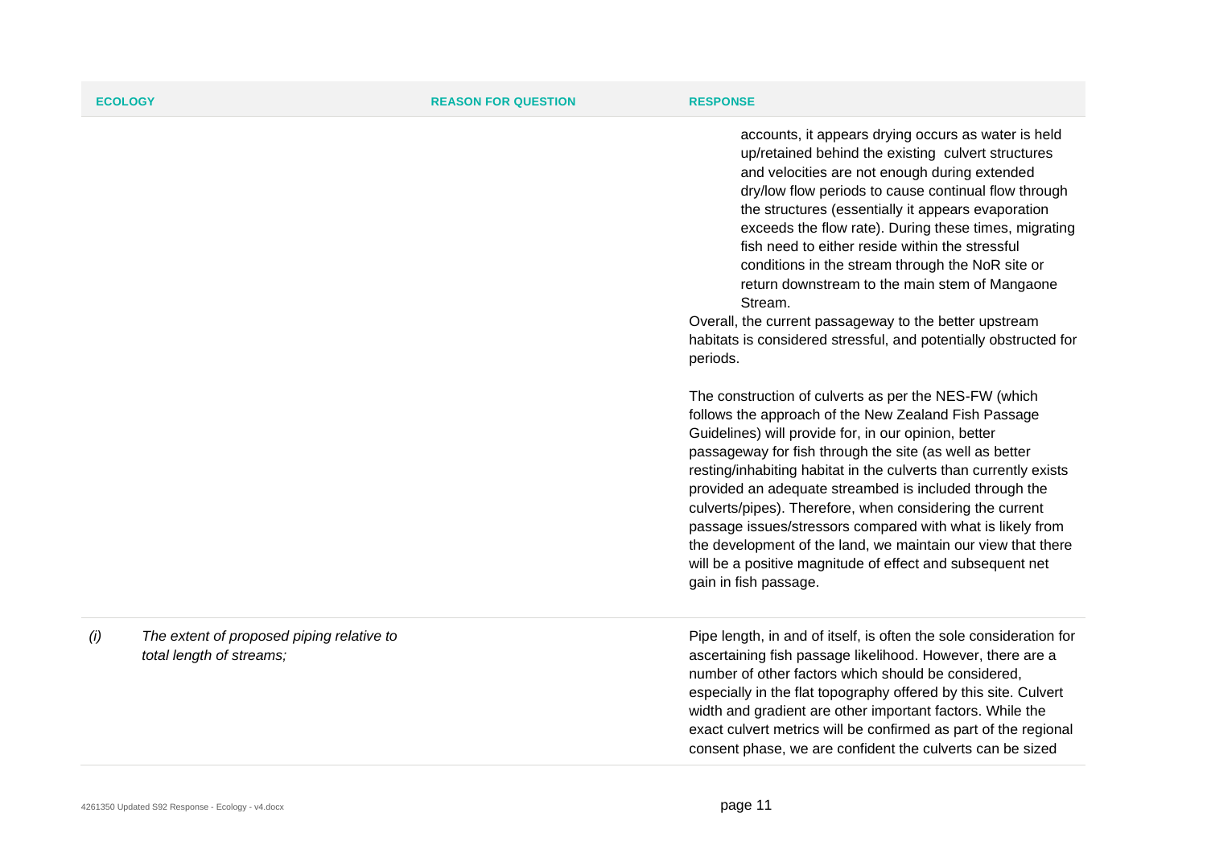accounts, it appears drying occurs as water is held up/retained behind the existing culvert structures and velocities are not enough during extended dry/low flow periods to cause continual flow through the structures (essentially it appears evaporation exceeds the flow rate). During these times, migrating fish need to either reside within the stressful conditions in the stream through the NoR site or return downstream to the main stem of Mangaone Stream.

Overall, the current passageway to the better upstream habitats is considered stressful, and potentially obstructed for periods.

The construction of culverts as per the NES-FW (which follows the approach of the New Zealand Fish Passage Guidelines) will provide for, in our opinion, better passageway for fish through the site (as well as better resting/inhabiting habitat in the culverts than currently exists provided an adequate streambed is included through the culverts/pipes). Therefore, when considering the current passage issues/stressors compared with what is likely from the development of the land, we maintain our view that there will be a positive magnitude of effect and subsequent net gain in fish passage.

Pipe length, in and of itself, is often the sole consideration for ascertaining fish passage likelihood. However, there are a number of other factors which should be considered, especially in the flat topography offered by this site. Culvert width and gradient are other important factors. While the exact culvert metrics will be confirmed as part of the regional consent phase, we are confident the culverts can be sized

*(i) The extent of proposed piping relative to total length of streams;*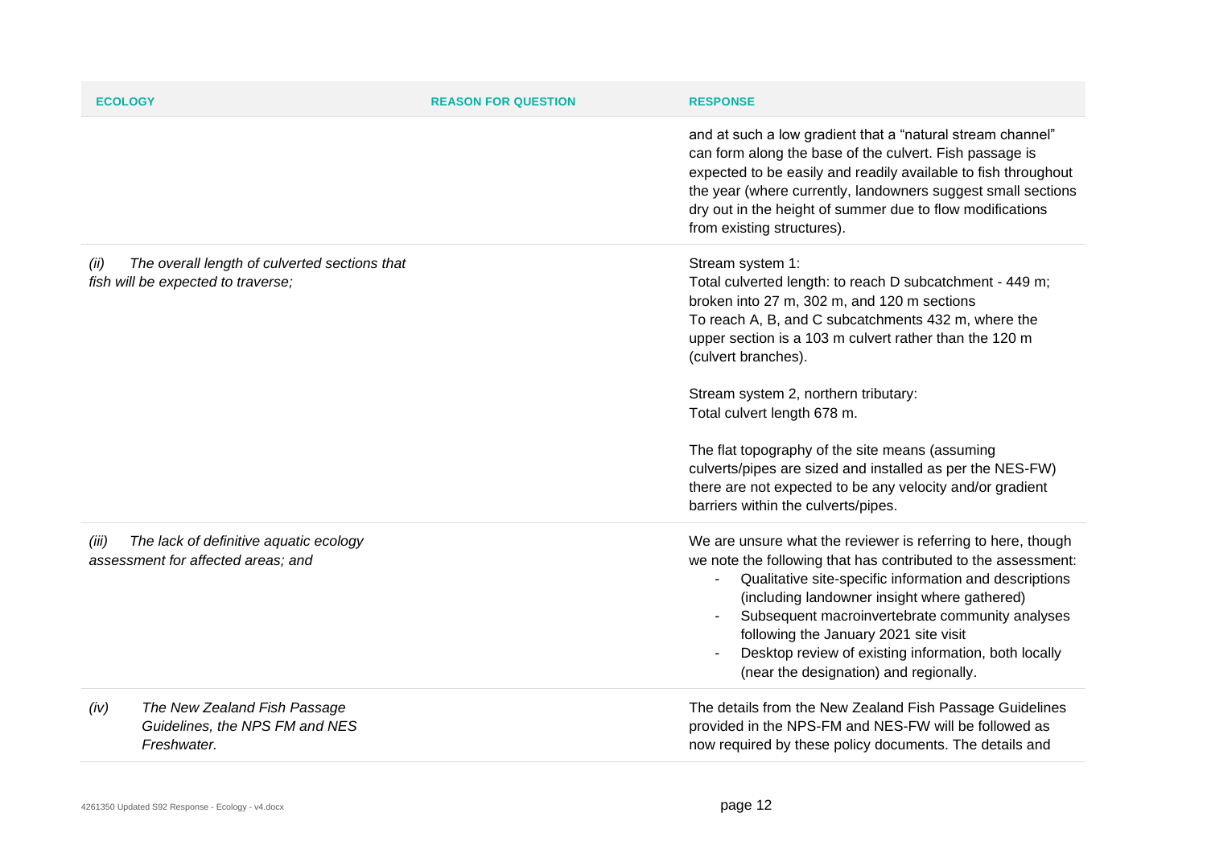| <b>ECOLOGY</b> |                                                                                     | <b>REASON FOR QUESTION</b> | <b>RESPONSE</b>                                                                                                                                                                                                                                                                                                                                                                                                                                                                                                         |
|----------------|-------------------------------------------------------------------------------------|----------------------------|-------------------------------------------------------------------------------------------------------------------------------------------------------------------------------------------------------------------------------------------------------------------------------------------------------------------------------------------------------------------------------------------------------------------------------------------------------------------------------------------------------------------------|
|                |                                                                                     |                            | and at such a low gradient that a "natural stream channel"<br>can form along the base of the culvert. Fish passage is<br>expected to be easily and readily available to fish throughout<br>the year (where currently, landowners suggest small sections<br>dry out in the height of summer due to flow modifications<br>from existing structures).                                                                                                                                                                      |
| (ii)           | The overall length of culverted sections that<br>fish will be expected to traverse; |                            | Stream system 1:<br>Total culverted length: to reach D subcatchment - 449 m;<br>broken into 27 m, 302 m, and 120 m sections<br>To reach A, B, and C subcatchments 432 m, where the<br>upper section is a 103 m culvert rather than the 120 m<br>(culvert branches).<br>Stream system 2, northern tributary:<br>Total culvert length 678 m.<br>The flat topography of the site means (assuming<br>culverts/pipes are sized and installed as per the NES-FW)<br>there are not expected to be any velocity and/or gradient |
| (iii)          | The lack of definitive aquatic ecology<br>assessment for affected areas; and        |                            | barriers within the culverts/pipes.<br>We are unsure what the reviewer is referring to here, though<br>we note the following that has contributed to the assessment:<br>Qualitative site-specific information and descriptions<br>(including landowner insight where gathered)<br>Subsequent macroinvertebrate community analyses<br>following the January 2021 site visit<br>Desktop review of existing information, both locally<br>(near the designation) and regionally.                                            |
| (iv)           | The New Zealand Fish Passage<br>Guidelines, the NPS FM and NES<br>Freshwater.       |                            | The details from the New Zealand Fish Passage Guidelines<br>provided in the NPS-FM and NES-FW will be followed as<br>now required by these policy documents. The details and                                                                                                                                                                                                                                                                                                                                            |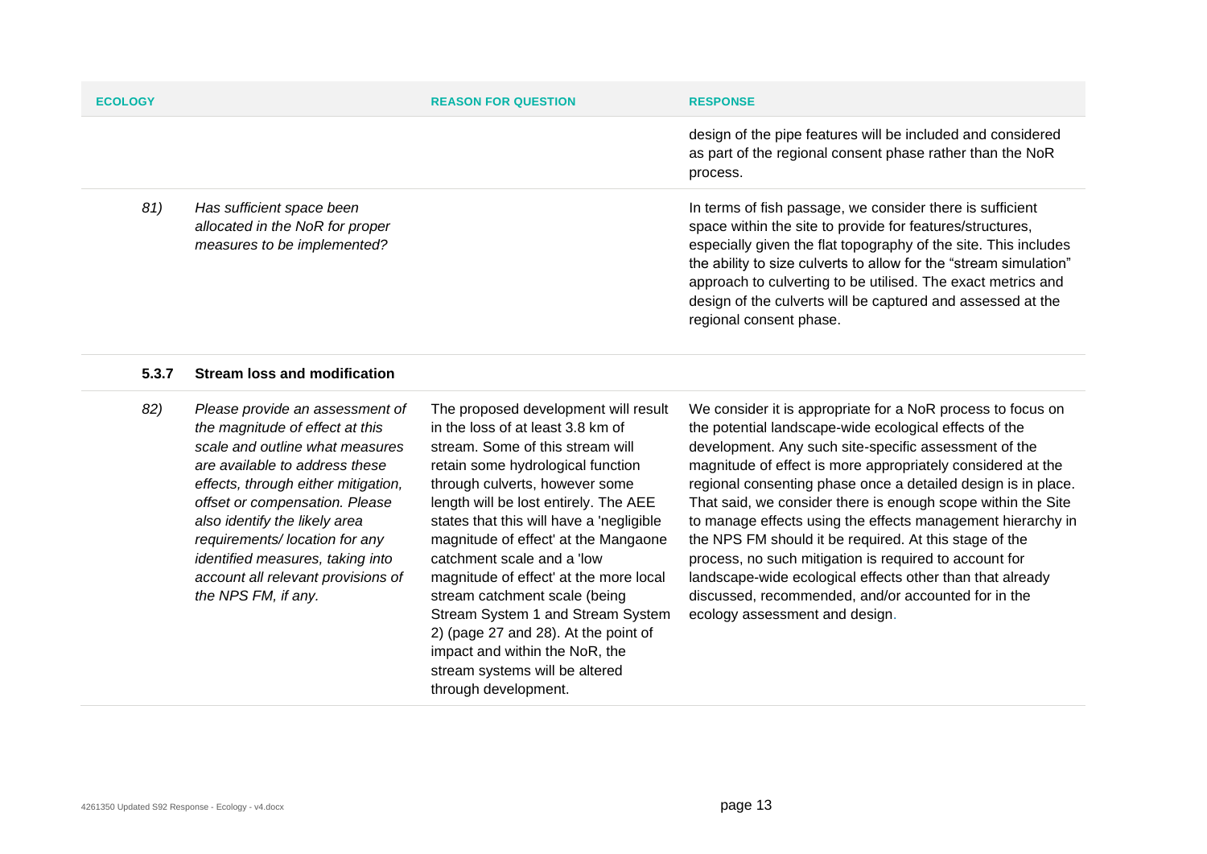| <b>ECOLOGY</b> |                                                                                             | <b>REASON FOR QUESTION</b> | <b>RESPONSE</b>                                                                                                                                                                                                                                                                                                                                                                                                          |
|----------------|---------------------------------------------------------------------------------------------|----------------------------|--------------------------------------------------------------------------------------------------------------------------------------------------------------------------------------------------------------------------------------------------------------------------------------------------------------------------------------------------------------------------------------------------------------------------|
|                |                                                                                             |                            | design of the pipe features will be included and considered<br>as part of the regional consent phase rather than the NoR<br>process.                                                                                                                                                                                                                                                                                     |
| 81)            | Has sufficient space been<br>allocated in the NoR for proper<br>measures to be implemented? |                            | In terms of fish passage, we consider there is sufficient<br>space within the site to provide for features/structures,<br>especially given the flat topography of the site. This includes<br>the ability to size culverts to allow for the "stream simulation"<br>approach to culverting to be utilised. The exact metrics and<br>design of the culverts will be captured and assessed at the<br>regional consent phase. |

### **5.3.7 Stream loss and modification**

*82) Please provide an assessment of the magnitude of effect at this scale and outline what measures are available to address these effects, through either mitigation, offset or compensation. Please also identify the likely area requirements/ location for any identified measures, taking into account all relevant provisions of the NPS FM, if any.*

The proposed development will result in the loss of at least 3.8 km of stream. Some of this stream will retain some hydrological function through culverts, however some length will be lost entirely. The AEE states that this will have a 'negligible magnitude of effect' at the Mangaone catchment scale and a 'low magnitude of effect' at the more local stream catchment scale (being Stream System 1 and Stream System 2) (page 27 and 28). At the point of impact and within the NoR, the stream systems will be altered through development.

We consider it is appropriate for a NoR process to focus on the potential landscape-wide ecological effects of the development. Any such site-specific assessment of the magnitude of effect is more appropriately considered at the regional consenting phase once a detailed design is in place. That said, we consider there is enough scope within the Site to manage effects using the effects management hierarchy in the NPS FM should it be required. At this stage of the process, no such mitigation is required to account for landscape-wide ecological effects other than that already discussed, recommended, and/or accounted for in the ecology assessment and design.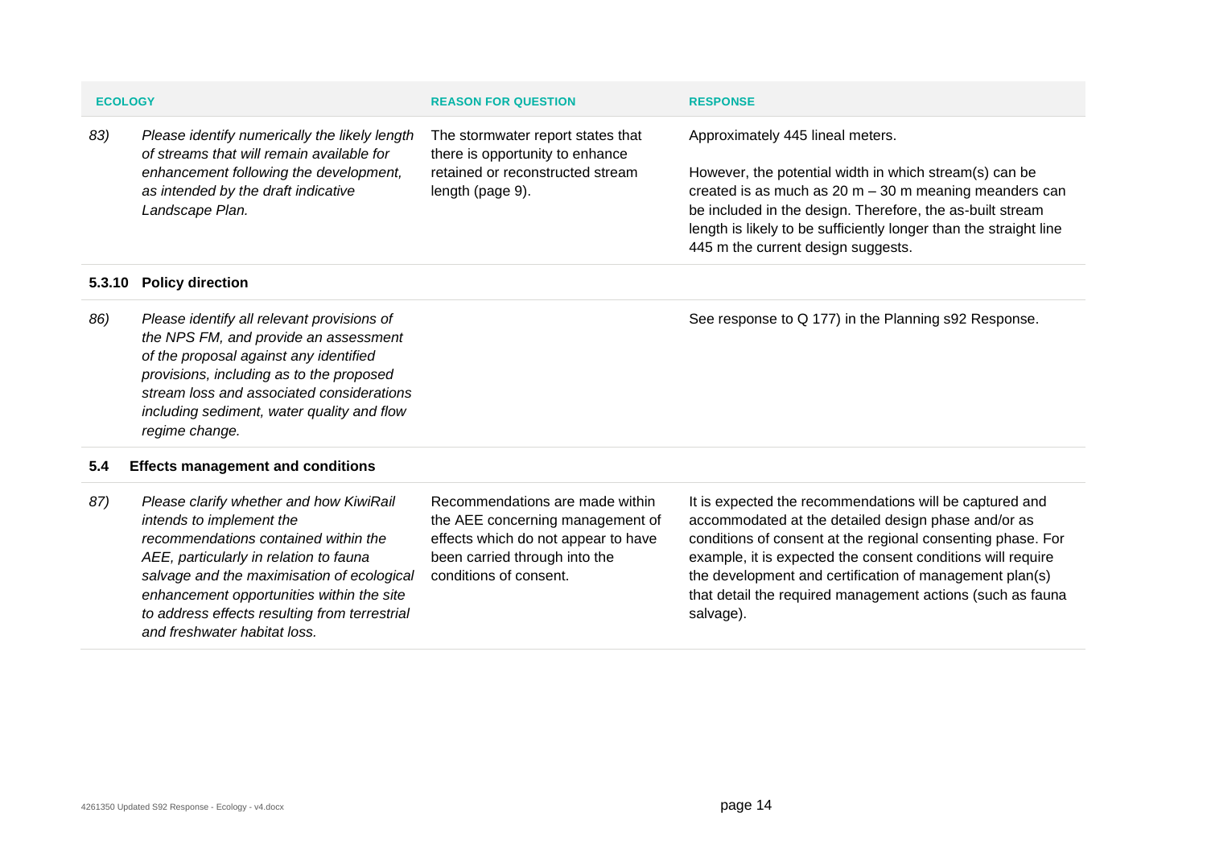| <b>ECOLOGY</b> |                                                                                                  | <b>REASON FOR QUESTION</b>                                           | <b>RESPONSE</b>                                                                                                                                                                                                                                      |
|----------------|--------------------------------------------------------------------------------------------------|----------------------------------------------------------------------|------------------------------------------------------------------------------------------------------------------------------------------------------------------------------------------------------------------------------------------------------|
| 83)            | Please identify numerically the likely length<br>of streams that will remain available for       | The stormwater report states that<br>there is opportunity to enhance | Approximately 445 lineal meters.                                                                                                                                                                                                                     |
|                | enhancement following the development,<br>as intended by the draft indicative<br>Landscape Plan. | retained or reconstructed stream<br>length (page 9).                 | However, the potential width in which stream(s) can be<br>created is as much as $20 m - 30 m$ meaning meanders can<br>be included in the design. Therefore, the as-built stream<br>length is likely to be sufficiently longer than the straight line |

### **5.3.10 Policy direction**

*86) Please identify all relevant provisions of the NPS FM, and provide an assessment of the proposal against any identified provisions, including as to the proposed stream loss and associated considerations including sediment, water quality and flow regime change.*

### **5.4 Effects management and conditions**

*87) Please clarify whether and how KiwiRail intends to implement the recommendations contained within the AEE, particularly in relation to fauna salvage and the maximisation of ecological enhancement opportunities within the site to address effects resulting from terrestrial and freshwater habitat loss.* Recommendations are made within the AEE concerning management of effects which do not appear to have been carried through into the conditions of consent. accommodated at the detailed design phase and/or as conditions of consent at the regional consenting phase. For example, it is expected the consent conditions will require the development and certification of management plan(s) that detail the required management actions (such as fauna salvage).

It is expected the recommendations will be captured and

See response to Q 177) in the Planning s92 Response.

445 m the current design suggests.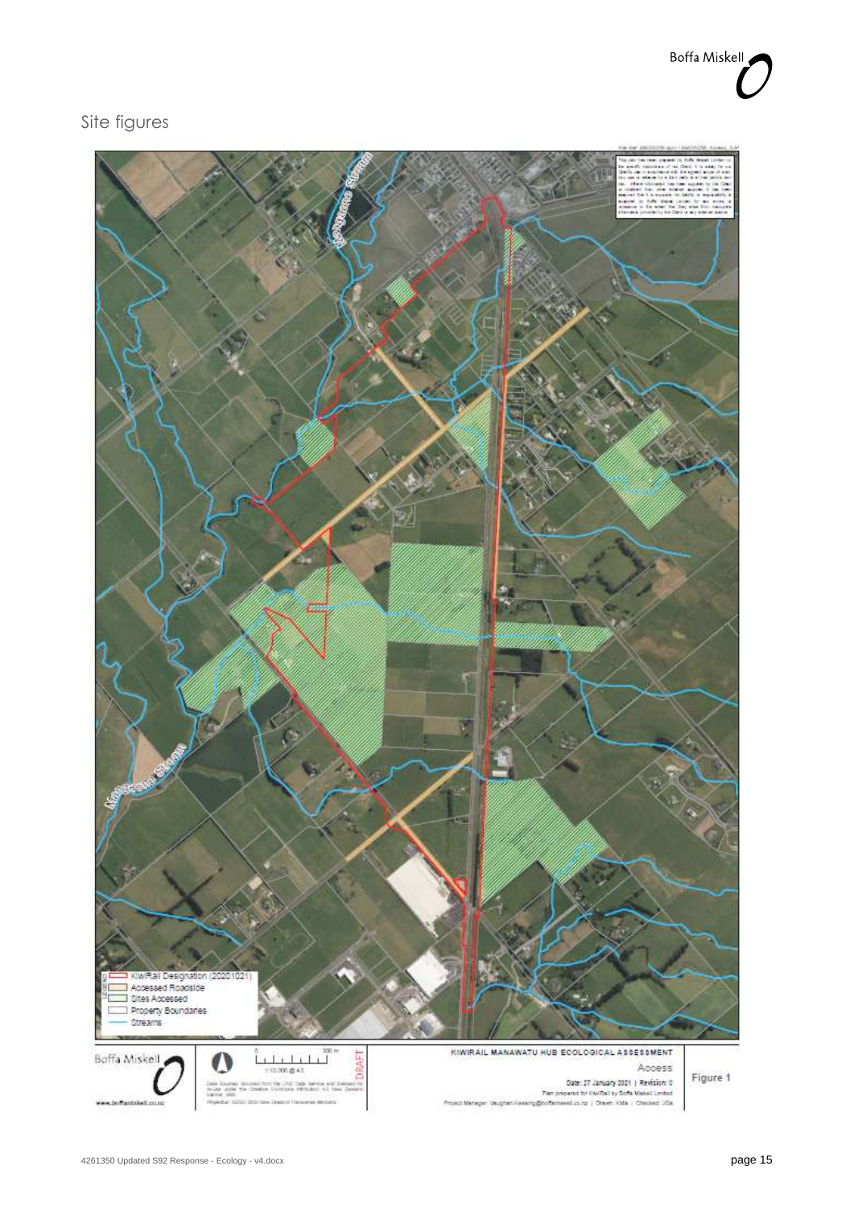## Site figures

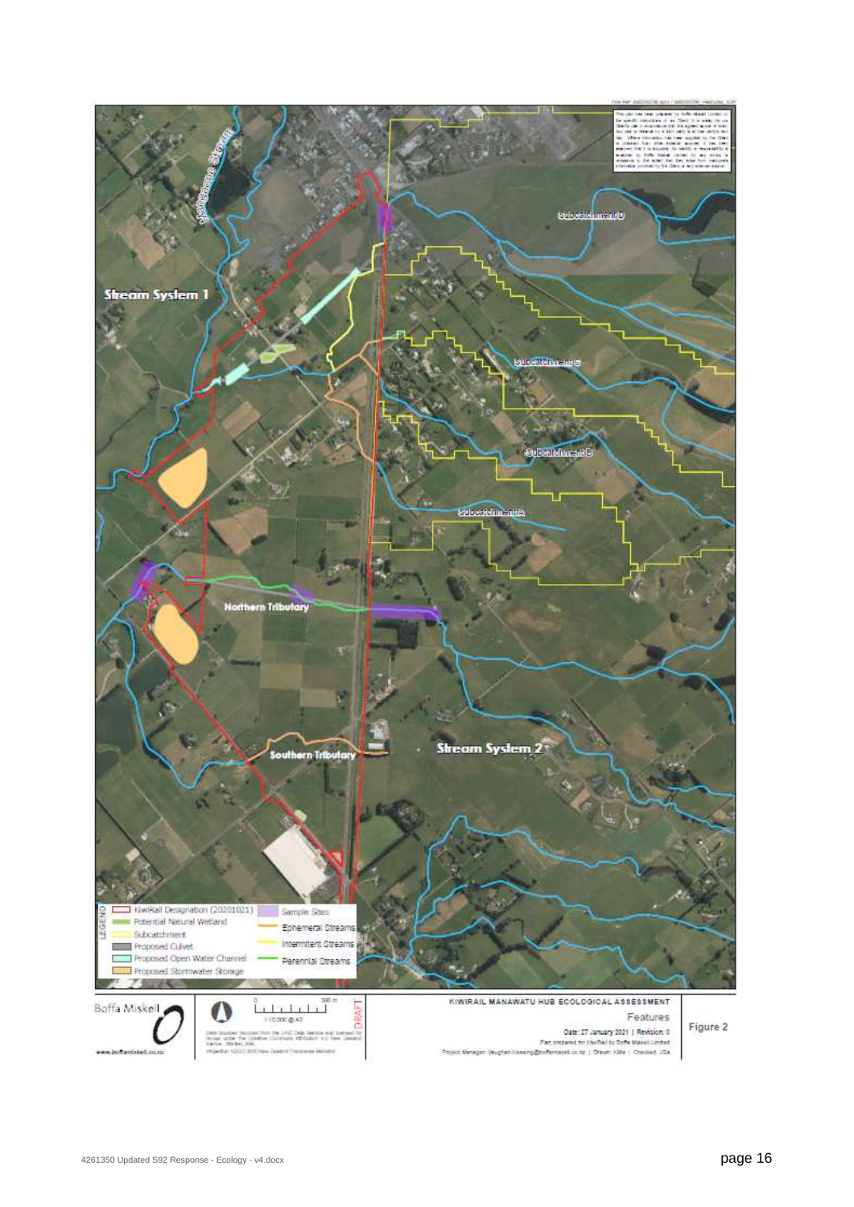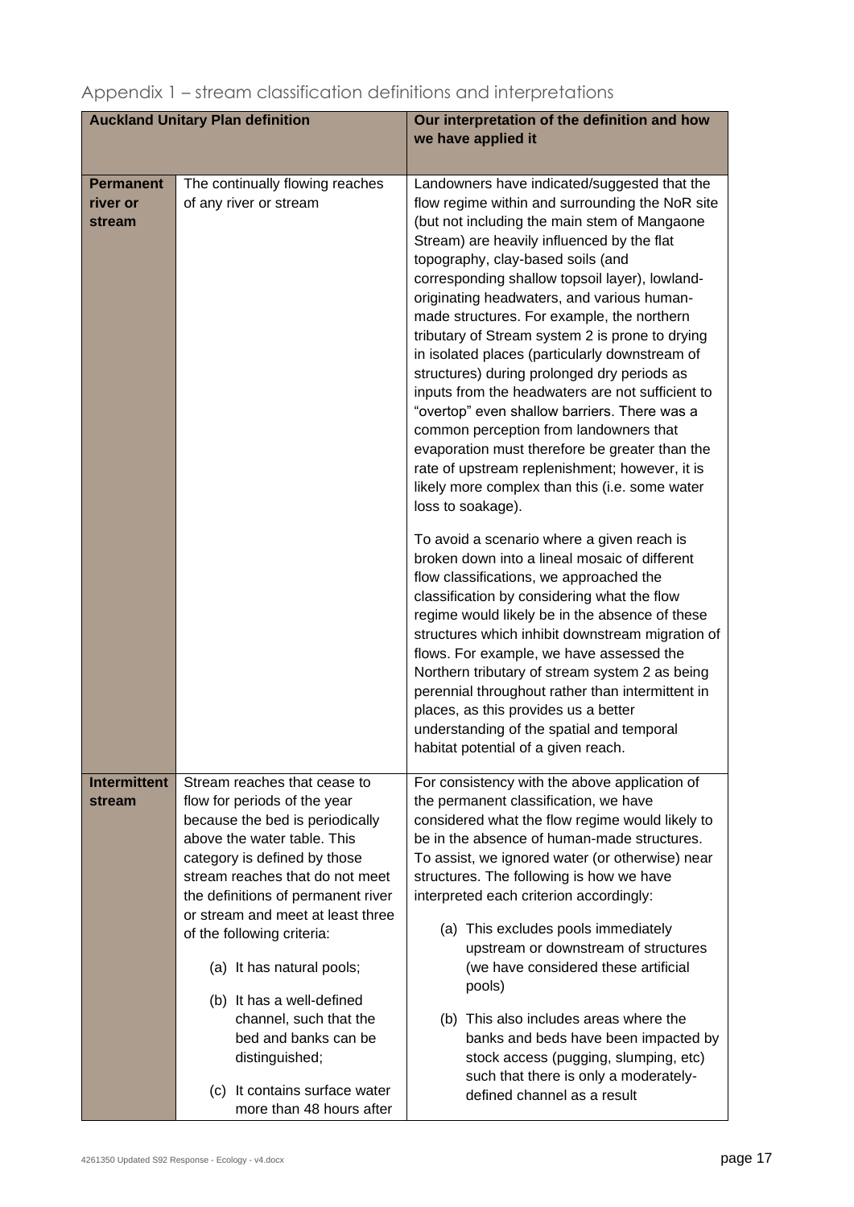| <b>Auckland Unitary Plan definition</b> |                                                                                                                                                                                                                                                                                                                                                                                                | Our interpretation of the definition and how<br>we have applied it                                                                                                                                                                                                                                                                                                                                                                                                                                                                                                                                                                                                                                                                                                                                                                                                                                                                                                                                                                                                                                                                                           |
|-----------------------------------------|------------------------------------------------------------------------------------------------------------------------------------------------------------------------------------------------------------------------------------------------------------------------------------------------------------------------------------------------------------------------------------------------|--------------------------------------------------------------------------------------------------------------------------------------------------------------------------------------------------------------------------------------------------------------------------------------------------------------------------------------------------------------------------------------------------------------------------------------------------------------------------------------------------------------------------------------------------------------------------------------------------------------------------------------------------------------------------------------------------------------------------------------------------------------------------------------------------------------------------------------------------------------------------------------------------------------------------------------------------------------------------------------------------------------------------------------------------------------------------------------------------------------------------------------------------------------|
|                                         |                                                                                                                                                                                                                                                                                                                                                                                                |                                                                                                                                                                                                                                                                                                                                                                                                                                                                                                                                                                                                                                                                                                                                                                                                                                                                                                                                                                                                                                                                                                                                                              |
| <b>Permanent</b><br>river or<br>stream  | The continually flowing reaches<br>of any river or stream                                                                                                                                                                                                                                                                                                                                      | Landowners have indicated/suggested that the<br>flow regime within and surrounding the NoR site<br>(but not including the main stem of Mangaone<br>Stream) are heavily influenced by the flat<br>topography, clay-based soils (and<br>corresponding shallow topsoil layer), lowland-<br>originating headwaters, and various human-<br>made structures. For example, the northern<br>tributary of Stream system 2 is prone to drying<br>in isolated places (particularly downstream of<br>structures) during prolonged dry periods as<br>inputs from the headwaters are not sufficient to<br>"overtop" even shallow barriers. There was a<br>common perception from landowners that<br>evaporation must therefore be greater than the<br>rate of upstream replenishment; however, it is<br>likely more complex than this (i.e. some water<br>loss to soakage).<br>To avoid a scenario where a given reach is<br>broken down into a lineal mosaic of different<br>flow classifications, we approached the<br>classification by considering what the flow<br>regime would likely be in the absence of these<br>structures which inhibit downstream migration of |
|                                         |                                                                                                                                                                                                                                                                                                                                                                                                | flows. For example, we have assessed the<br>Northern tributary of stream system 2 as being<br>perennial throughout rather than intermittent in<br>places, as this provides us a better<br>understanding of the spatial and temporal<br>habitat potential of a given reach.                                                                                                                                                                                                                                                                                                                                                                                                                                                                                                                                                                                                                                                                                                                                                                                                                                                                                   |
| <b>Intermittent</b><br>stream           | Stream reaches that cease to<br>flow for periods of the year<br>because the bed is periodically<br>above the water table. This<br>category is defined by those<br>stream reaches that do not meet<br>the definitions of permanent river<br>or stream and meet at least three<br>of the following criteria:<br>(a) It has natural pools;<br>(b) It has a well-defined<br>channel, such that the | For consistency with the above application of<br>the permanent classification, we have<br>considered what the flow regime would likely to<br>be in the absence of human-made structures.<br>To assist, we ignored water (or otherwise) near<br>structures. The following is how we have<br>interpreted each criterion accordingly:<br>(a) This excludes pools immediately<br>upstream or downstream of structures<br>(we have considered these artificial<br>pools)<br>(b) This also includes areas where the                                                                                                                                                                                                                                                                                                                                                                                                                                                                                                                                                                                                                                                |
|                                         | bed and banks can be<br>distinguished;<br>(c) It contains surface water<br>more than 48 hours after                                                                                                                                                                                                                                                                                            | banks and beds have been impacted by<br>stock access (pugging, slumping, etc)<br>such that there is only a moderately-<br>defined channel as a result                                                                                                                                                                                                                                                                                                                                                                                                                                                                                                                                                                                                                                                                                                                                                                                                                                                                                                                                                                                                        |

## Appendix 1 – stream classification definitions and interpretations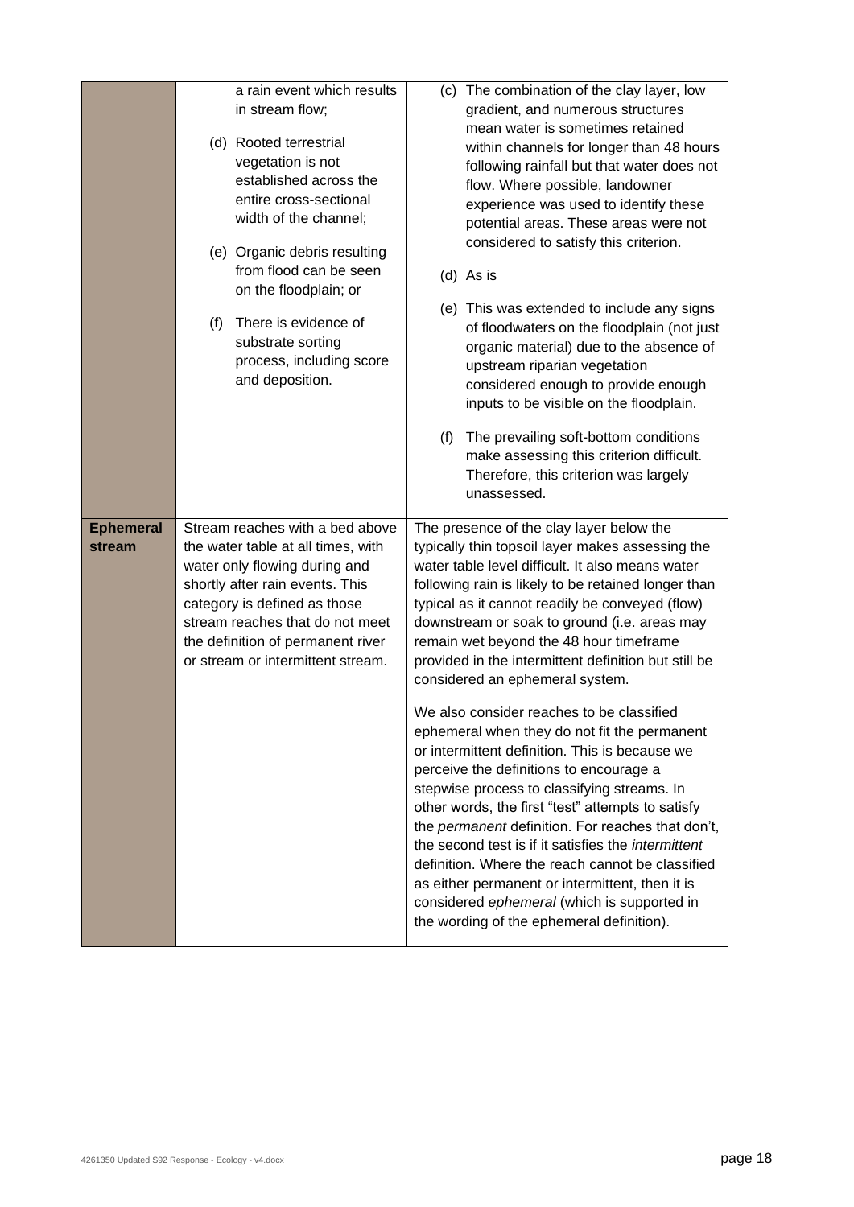|                            | a rain event which results<br>in stream flow;<br>(d) Rooted terrestrial<br>vegetation is not<br>established across the<br>entire cross-sectional<br>width of the channel;<br>(e) Organic debris resulting<br>from flood can be seen<br>on the floodplain; or<br>There is evidence of<br>(f)<br>substrate sorting<br>process, including score<br>and deposition. | (c) The combination of the clay layer, low<br>gradient, and numerous structures<br>mean water is sometimes retained<br>within channels for longer than 48 hours<br>following rainfall but that water does not<br>flow. Where possible, landowner<br>experience was used to identify these<br>potential areas. These areas were not<br>considered to satisfy this criterion.<br>$(d)$ As is<br>(e) This was extended to include any signs<br>of floodwaters on the floodplain (not just<br>organic material) due to the absence of<br>upstream riparian vegetation<br>considered enough to provide enough<br>inputs to be visible on the floodplain.<br>(f)<br>The prevailing soft-bottom conditions<br>make assessing this criterion difficult.<br>Therefore, this criterion was largely<br>unassessed.                                                                                                                                                                                                                                                                     |
|----------------------------|-----------------------------------------------------------------------------------------------------------------------------------------------------------------------------------------------------------------------------------------------------------------------------------------------------------------------------------------------------------------|-----------------------------------------------------------------------------------------------------------------------------------------------------------------------------------------------------------------------------------------------------------------------------------------------------------------------------------------------------------------------------------------------------------------------------------------------------------------------------------------------------------------------------------------------------------------------------------------------------------------------------------------------------------------------------------------------------------------------------------------------------------------------------------------------------------------------------------------------------------------------------------------------------------------------------------------------------------------------------------------------------------------------------------------------------------------------------|
| <b>Ephemeral</b><br>stream | Stream reaches with a bed above<br>the water table at all times, with<br>water only flowing during and<br>shortly after rain events. This<br>category is defined as those<br>stream reaches that do not meet<br>the definition of permanent river<br>or stream or intermittent stream.                                                                          | The presence of the clay layer below the<br>typically thin topsoil layer makes assessing the<br>water table level difficult. It also means water<br>following rain is likely to be retained longer than<br>typical as it cannot readily be conveyed (flow)<br>downstream or soak to ground (i.e. areas may<br>remain wet beyond the 48 hour timeframe<br>provided in the intermittent definition but still be<br>considered an ephemeral system.<br>We also consider reaches to be classified<br>ephemeral when they do not fit the permanent<br>or intermittent definition. This is because we<br>perceive the definitions to encourage a<br>stepwise process to classifying streams. In<br>other words, the first "test" attempts to satisfy<br>the <i>permanent</i> definition. For reaches that don't,<br>the second test is if it satisfies the <i>intermittent</i><br>definition. Where the reach cannot be classified<br>as either permanent or intermittent, then it is<br>considered ephemeral (which is supported in<br>the wording of the ephemeral definition). |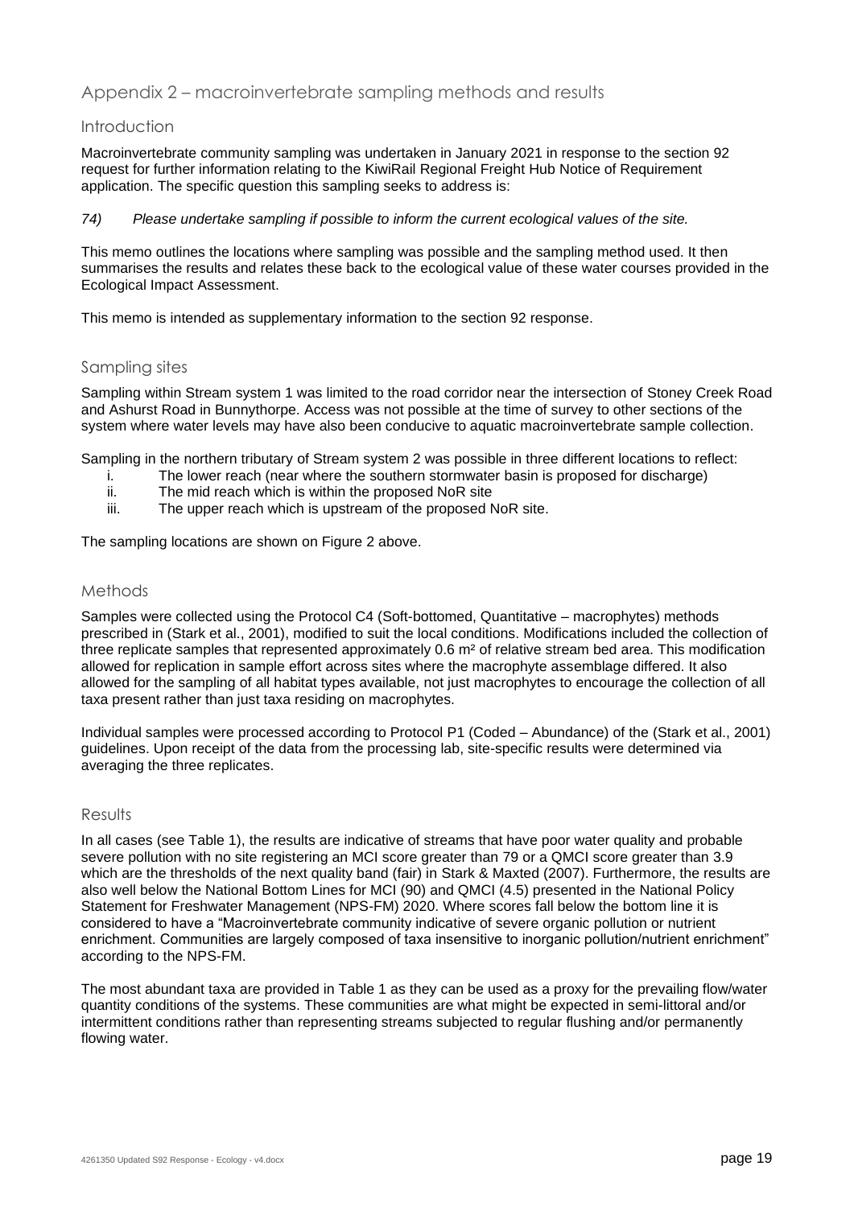## Appendix 2 – macroinvertebrate sampling methods and results

### Introduction

Macroinvertebrate community sampling was undertaken in January 2021 in response to the section 92 request for further information relating to the KiwiRail Regional Freight Hub Notice of Requirement application. The specific question this sampling seeks to address is:

*74) Please undertake sampling if possible to inform the current ecological values of the site.*

This memo outlines the locations where sampling was possible and the sampling method used. It then summarises the results and relates these back to the ecological value of these water courses provided in the Ecological Impact Assessment.

This memo is intended as supplementary information to the section 92 response.

### Sampling sites

Sampling within Stream system 1 was limited to the road corridor near the intersection of Stoney Creek Road and Ashurst Road in Bunnythorpe. Access was not possible at the time of survey to other sections of the system where water levels may have also been conducive to aquatic macroinvertebrate sample collection.

Sampling in the northern tributary of Stream system 2 was possible in three different locations to reflect:

- i. The lower reach (near where the southern stormwater basin is proposed for discharge)
- ii. The mid reach which is within the proposed NoR site  $\frac{1}{10}$  The upper reach which is upstream of the proposed N
- The upper reach which is upstream of the proposed NoR site.

The sampling locations are shown on Figure 2 above.

### Methods

Samples were collected using the Protocol C4 (Soft-bottomed, Quantitative – macrophytes) methods prescribed in (Stark et al., 2001), modified to suit the local conditions. Modifications included the collection of three replicate samples that represented approximately 0.6 m² of relative stream bed area. This modification allowed for replication in sample effort across sites where the macrophyte assemblage differed. It also allowed for the sampling of all habitat types available, not just macrophytes to encourage the collection of all taxa present rather than just taxa residing on macrophytes.

Individual samples were processed according to Protocol P1 (Coded – Abundance) of the (Stark et al., 2001) guidelines. Upon receipt of the data from the processing lab, site-specific results were determined via averaging the three replicates.

### Results

In all cases (see [Table 1\)](#page-19-0), the results are indicative of streams that have poor water quality and probable severe pollution with no site registering an MCI score greater than 79 or a QMCI score greater than 3.9 which are the thresholds of the next quality band (fair) in Stark & Maxted (2007). Furthermore, the results are also well below the National Bottom Lines for MCI (90) and QMCI (4.5) presented in the National Policy Statement for Freshwater Management (NPS-FM) 2020. Where scores fall below the bottom line it is considered to have a "Macroinvertebrate community indicative of severe organic pollution or nutrient enrichment. Communities are largely composed of taxa insensitive to inorganic pollution/nutrient enrichment" according to the NPS-FM.

The most abundant taxa are provided in [Table 1](#page-19-0) as they can be used as a proxy for the prevailing flow/water quantity conditions of the systems. These communities are what might be expected in semi-littoral and/or intermittent conditions rather than representing streams subjected to regular flushing and/or permanently flowing water.